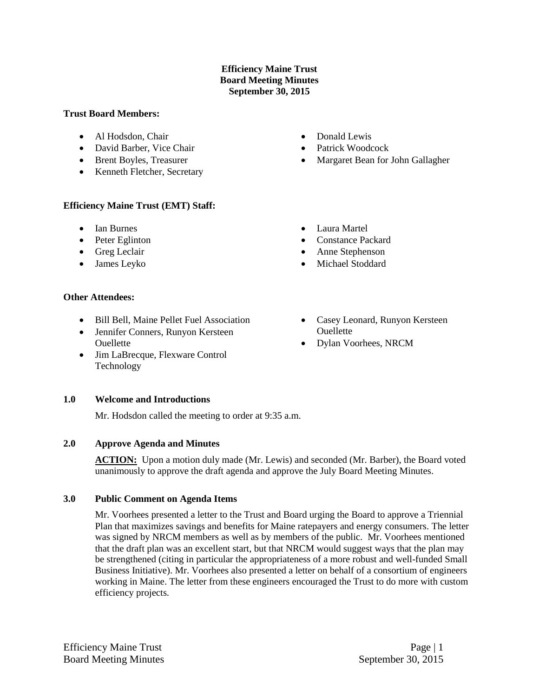## **Efficiency Maine Trust Board Meeting Minutes September 30, 2015**

#### **Trust Board Members:**

- Al Hodsdon, Chair
- David Barber, Vice Chair
- Brent Boyles, Treasurer
- Kenneth Fletcher, Secretary

#### **Efficiency Maine Trust (EMT) Staff:**

- Ian Burnes
- Peter Eglinton
- Greg Leclair
- James Leyko

#### **Other Attendees:**

- Bill Bell, Maine Pellet Fuel Association
- Jennifer Conners, Runyon Kersteen Ouellette
- Jim LaBrecque, Flexware Control Technology

# **1.0 Welcome and Introductions**

Mr. Hodsdon called the meeting to order at 9:35 a.m.

#### **2.0 Approve Agenda and Minutes**

ACTION: Upon a motion duly made (Mr. Lewis) and seconded (Mr. Barber), the Board voted unanimously to approve the draft agenda and approve the July Board Meeting Minutes.

#### **3.0 Public Comment on Agenda Items**

Mr. Voorhees presented a letter to the Trust and Board urging the Board to approve a Triennial Plan that maximizes savings and benefits for Maine ratepayers and energy consumers. The letter was signed by NRCM members as well as by members of the public. Mr. Voorhees mentioned that the draft plan was an excellent start, but that NRCM would suggest ways that the plan may be strengthened (citing in particular the appropriateness of a more robust and well-funded Small Business Initiative). Mr. Voorhees also presented a letter on behalf of a consortium of engineers working in Maine. The letter from these engineers encouraged the Trust to do more with custom efficiency projects.

- Casey Leonard, Runyon Kersteen **Ouellette**
- Dylan Voorhees, NRCM

• Donald Lewis

Laura Martel

 Constance Packard Anne Stephenson Michael Stoddard

- Patrick Woodcock
- Margaret Bean for John Gallagher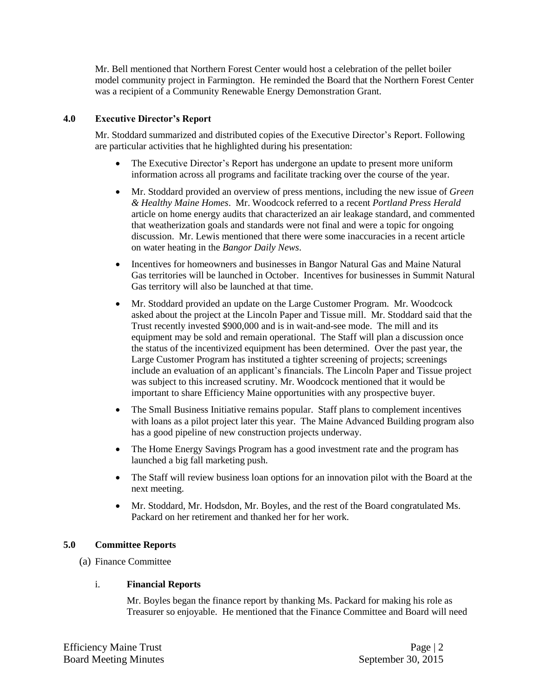Mr. Bell mentioned that Northern Forest Center would host a celebration of the pellet boiler model community project in Farmington. He reminded the Board that the Northern Forest Center was a recipient of a Community Renewable Energy Demonstration Grant.

## **4.0 Executive Director's Report**

Mr. Stoddard summarized and distributed copies of the Executive Director's Report. Following are particular activities that he highlighted during his presentation:

- The Executive Director's Report has undergone an update to present more uniform information across all programs and facilitate tracking over the course of the year.
- Mr. Stoddard provided an overview of press mentions, including the new issue of *Green & Healthy Maine Homes*. Mr. Woodcock referred to a recent *Portland Press Herald* article on home energy audits that characterized an air leakage standard, and commented that weatherization goals and standards were not final and were a topic for ongoing discussion. Mr. Lewis mentioned that there were some inaccuracies in a recent article on water heating in the *Bangor Daily News*.
- Incentives for homeowners and businesses in Bangor Natural Gas and Maine Natural Gas territories will be launched in October. Incentives for businesses in Summit Natural Gas territory will also be launched at that time.
- Mr. Stoddard provided an update on the Large Customer Program. Mr. Woodcock asked about the project at the Lincoln Paper and Tissue mill. Mr. Stoddard said that the Trust recently invested \$900,000 and is in wait-and-see mode. The mill and its equipment may be sold and remain operational. The Staff will plan a discussion once the status of the incentivized equipment has been determined. Over the past year, the Large Customer Program has instituted a tighter screening of projects; screenings include an evaluation of an applicant's financials. The Lincoln Paper and Tissue project was subject to this increased scrutiny. Mr. Woodcock mentioned that it would be important to share Efficiency Maine opportunities with any prospective buyer.
- The Small Business Initiative remains popular. Staff plans to complement incentives with loans as a pilot project later this year. The Maine Advanced Building program also has a good pipeline of new construction projects underway.
- The Home Energy Savings Program has a good investment rate and the program has launched a big fall marketing push.
- The Staff will review business loan options for an innovation pilot with the Board at the next meeting.
- Mr. Stoddard, Mr. Hodsdon, Mr. Boyles, and the rest of the Board congratulated Ms. Packard on her retirement and thanked her for her work.

#### **5.0 Committee Reports**

(a) Finance Committee

#### i. **Financial Reports**

Mr. Boyles began the finance report by thanking Ms. Packard for making his role as Treasurer so enjoyable. He mentioned that the Finance Committee and Board will need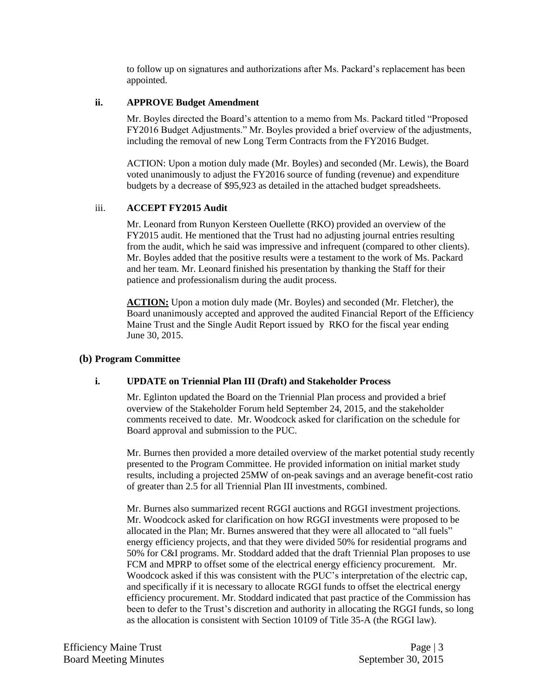to follow up on signatures and authorizations after Ms. Packard's replacement has been appointed.

### **ii. APPROVE Budget Amendment**

Mr. Boyles directed the Board's attention to a memo from Ms. Packard titled "Proposed FY2016 Budget Adjustments." Mr. Boyles provided a brief overview of the adjustments, including the removal of new Long Term Contracts from the FY2016 Budget.

ACTION: Upon a motion duly made (Mr. Boyles) and seconded (Mr. Lewis), the Board voted unanimously to adjust the FY2016 source of funding (revenue) and expenditure budgets by a decrease of \$95,923 as detailed in the attached budget spreadsheets.

## iii. **ACCEPT FY2015 Audit**

Mr. Leonard from Runyon Kersteen Ouellette (RKO) provided an overview of the FY2015 audit. He mentioned that the Trust had no adjusting journal entries resulting from the audit, which he said was impressive and infrequent (compared to other clients). Mr. Boyles added that the positive results were a testament to the work of Ms. Packard and her team. Mr. Leonard finished his presentation by thanking the Staff for their patience and professionalism during the audit process.

ACTION: Upon a motion duly made (Mr. Boyles) and seconded (Mr. Fletcher), the Board unanimously accepted and approved the audited Financial Report of the Efficiency Maine Trust and the Single Audit Report issued by RKO for the fiscal year ending June 30, 2015.

#### **(b) Program Committee**

#### **i. UPDATE on Triennial Plan III (Draft) and Stakeholder Process**

Mr. Eglinton updated the Board on the Triennial Plan process and provided a brief overview of the Stakeholder Forum held September 24, 2015, and the stakeholder comments received to date. Mr. Woodcock asked for clarification on the schedule for Board approval and submission to the PUC.

Mr. Burnes then provided a more detailed overview of the market potential study recently presented to the Program Committee. He provided information on initial market study results, including a projected 25MW of on-peak savings and an average benefit-cost ratio of greater than 2.5 for all Triennial Plan III investments, combined.

Mr. Burnes also summarized recent RGGI auctions and RGGI investment projections. Mr. Woodcock asked for clarification on how RGGI investments were proposed to be allocated in the Plan; Mr. Burnes answered that they were all allocated to "all fuels" energy efficiency projects, and that they were divided 50% for residential programs and 50% for C&I programs. Mr. Stoddard added that the draft Triennial Plan proposes to use FCM and MPRP to offset some of the electrical energy efficiency procurement. Mr. Woodcock asked if this was consistent with the PUC's interpretation of the electric cap, and specifically if it is necessary to allocate RGGI funds to offset the electrical energy efficiency procurement. Mr. Stoddard indicated that past practice of the Commission has been to defer to the Trust's discretion and authority in allocating the RGGI funds, so long as the allocation is consistent with Section 10109 of Title 35-A (the RGGI law).